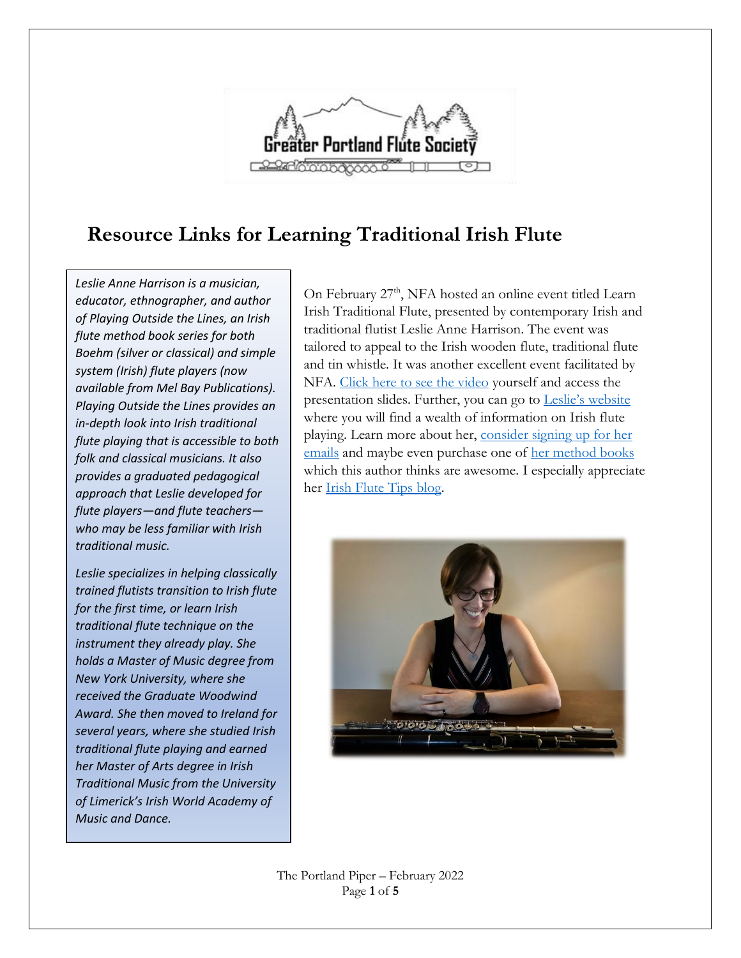

### **Resource Links for Learning Traditional Irish Flute**

*Leslie Anne Harrison is a musician, educator, ethnographer, and author of Playing Outside the Lines, an Irish flute method book series for both Boehm (silver or classical) and simple system (Irish) flute players (now available from Mel Bay Publications). Playing Outside the Lines provides an in-depth look into Irish traditional flute playing that is accessible to both folk and classical musicians. It also provides a graduated pedagogical approach that Leslie developed for flute players—and flute teachers who may be less familiar with Irish traditional music.* 

*Leslie specializes in helping classically trained flutists transition to Irish flute for the first time, or learn Irish traditional flute technique on the instrument they already play. She holds a Master of Music degree from New York University, where she received the Graduate Woodwind Award. She then moved to Ireland for several years, where she studied Irish traditional flute playing and earned her Master of Arts degree in Irish Traditional Music from the University of Limerick's Irish World Academy of Music and Dance.*

On February 27<sup>th</sup>, NFA hosted an online event titled Learn Irish Traditional Flute, presented by contemporary Irish and traditional flutist Leslie Anne Harrison. The event was tailored to appeal to the Irish wooden flute, traditional flute and tin whistle. It was another excellent event facilitated by NFA. [Click here to see the video](https://www.nfaonline.org/community/events/nfa-events#IrishTraditional) yourself and access the presentation slides. Further, you can go to Leslie['s website](https://www.leslieanneharrison.com/) where you will find a wealth of information on Irish flute playing. Learn more about her, [consider signing up for her](https://www.leslieanneharrison.com/subscribe)  [emails](https://www.leslieanneharrison.com/subscribe) and maybe even purchase one of [her method books](https://www.leslieanneharrison.com/books) which this author thinks are awesome. I especially appreciate her [Irish Flute Tips blog.](https://www.leslieanneharrison.com/irish-flute-tips-blog)



The Portland Piper – February 2022 Page **1** of **5**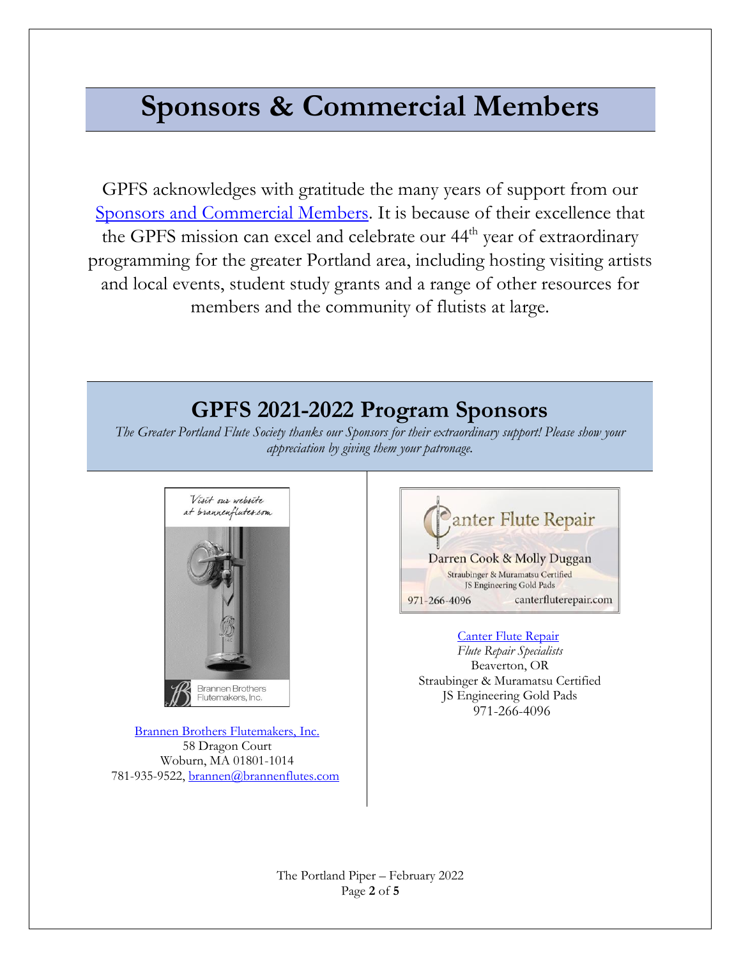# **Sponsors & Commercial Members**

GPFS acknowledges with gratitude the many years of support from our [Sponsors and Commercial Members.](https://gpfs.org/Commercial-Membership) It is because of their excellence that the GPFS mission can excel and celebrate our 44<sup>th</sup> year of extraordinary programming for the greater Portland area, including hosting visiting artists and local events, student study grants and a range of other resources for members and the community of flutists at large.

## **GPFS 2021-2022 Program Sponsors**

*The Greater Portland Flute Society thanks our Sponsors for their extraordinary support! Please show your appreciation by giving them your patronage.*



[Brannen Brothers Flutemakers, Inc.](https://www.brannenflutes.com/) 58 Dragon Court Woburn, MA 01801-1014 781-935-9522[, brannen@brannenflutes.com](mailto:brannen@brannenflutes.com)



[Canter Flute Repair](https://www.canterfluterepair.com/)

*Flute Repair Specialists* Beaverton, OR Straubinger & Muramatsu Certified JS Engineering Gold Pads 971-266-4096

The Portland Piper – February 2022 Page **2** of **5**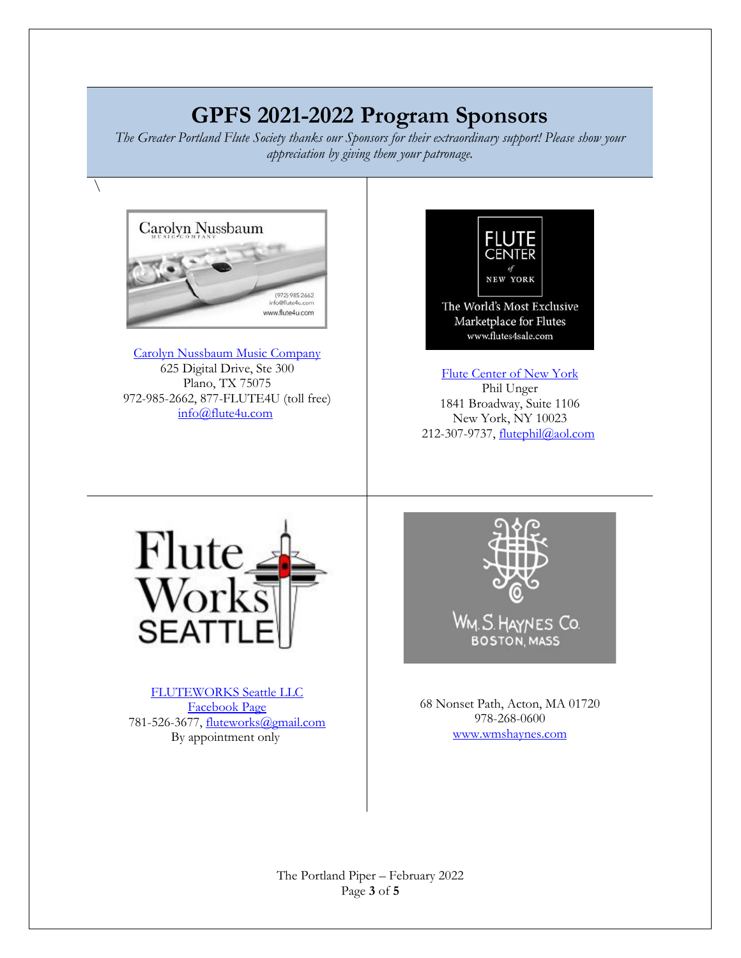# **GPFS 2021-2022 Program Sponsors**

*The Greater Portland Flute Society thanks our Sponsors for their extraordinary support! Please show your appreciation by giving them your patronage.*



 $\setminus$ 

[Carolyn Nussbaum Music Company](http://www.flute4u.com/) 625 Digital Drive, Ste 300 Plano, TX 75075 972-985-2662, 877-FLUTE4U (toll free) [info@flute4u.com](mailto:info@flute4u.com)



[Flute Center of New York](http://www.flutes4sale.com/) Phil Unger 1841 Broadway, Suite 1106 New York, NY 10023 212-307-9737, [flutephil@aol.com](mailto:flutephil@aol.com)



[FLUTEWORKS Seattle LLC](https://www.fwseattle.com/) [Facebook Page](https://www.facebook.com/fluteworksseattle/?ref=page_internal) 781-526-3677, [fluteworks@gmail.com](mailto:fluteworks@gmail.com) By appointment only



68 Nonset Path, Acton, MA 01720 978-268-0600 [www.wmshaynes.com](https://d.docs.live.net/b7076dfbb4084dbc/Documents/www.wmshaynes.com)

The Portland Piper – February 2022 Page **3** of **5**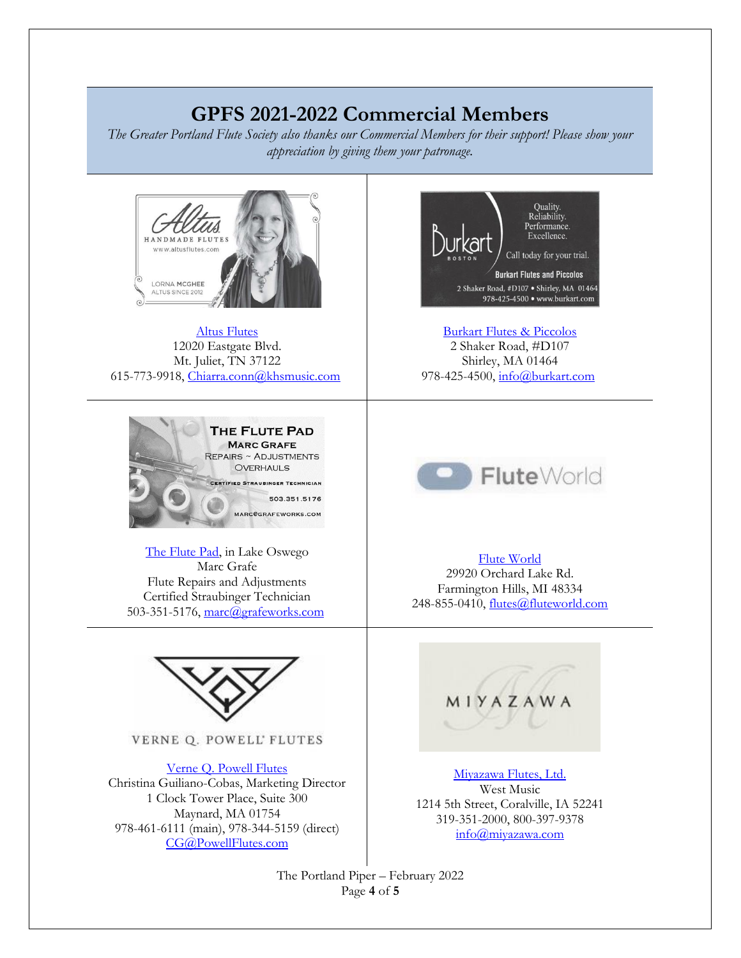### **GPFS 2021-2022 Commercial Members**

*The Greater Portland Flute Society also thanks our Commercial Members for their support! Please show your appreciation by giving them your patronage.*



[Altus Flutes](http://www.altusflutes.com/) 12020 Eastgate Blvd. Mt. Juliet, TN 37122 615-773-9918, [Chiarra.conn@khsmusic.com](mailto:Chiarra.conn@khsmusic.com)



[The Flute Pad,](https://gpfs.org/images/Marc_Grafe.pdf) in Lake Oswego Marc Grafe Flute Repairs and Adjustments Certified Straubinger Technician 503-351-5176, [marc@grafeworks.com](mailto:marc@grafeworks.com)



VERNE Q. POWELL' FLUTES

[Verne Q. Powell Flutes](https://www.powellflutes.com/en/) Christina Guiliano-Cobas, Marketing Director 1 Clock Tower Place, Suite 300 Maynard, MA 01754 978-461-6111 (main), 978-344-5159 (direct) [CG@PowellFlutes.com](https://d.docs.live.net/b7076dfbb4084dbc/Documents/CG@PowellFlutes.com)



[Burkart Flutes & Piccolos](http://www.burkart.com/) 2 Shaker Road, #D107 Shirley, MA 01464 978-425-4500, [info@burkart.com](mailto:info@burkart.com)



#### [Flute World](http://www.fluteworld.com/)

29920 Orchard Lake Rd. Farmington Hills, MI 48334 248-855-0410, [flutes@fluteworld.com](mailto:flutes@fluteworld.com)



[Miyazawa Flutes, Ltd.](https://miyazawa.com/) West Music 1214 5th Street, Coralville, IA 52241 319-351-2000, 800-397-9378 [info@miyazawa.com](https://d.docs.live.net/b7076dfbb4084dbc/Documents/info@miyazawa.com)

The Portland Piper – February 2022 Page **4** of **5**